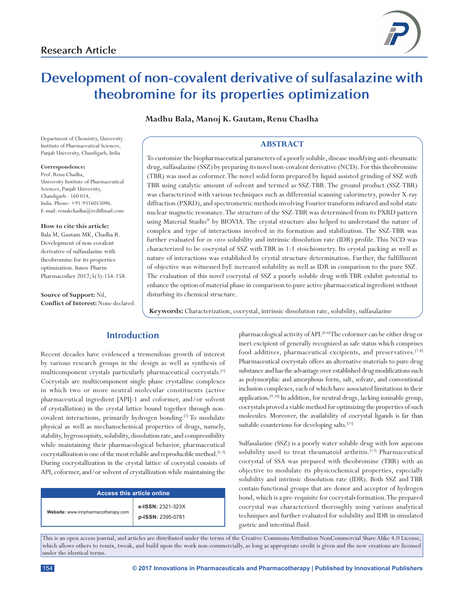

# **Development of non-covalent derivative of sulfasalazine with theobromine for its properties optimization**

**Madhu Bala, Manoj K. Gautam, Renu Chadha**

Department of Chemistry, University Institute of Pharmaceutical Sciences, Panjab University, Chandigarh, India

#### **Correspondence:**

Prof. Renu Chadha, University Institute of Pharmaceutical Sciences, Panjab University, Chandigarh - 160 014, India. Phone: +91-9316015096. E-mail: renukchadha@rediffmail.com

**How to cite this article:** Bala M, Gautam MK, Chadha R. Development of non-covalent derivative of sulfasalazine with theobromine for its properties optimization. Innov Pharm Pharmacother 2017;5(3):154-158.

**Source of Support:** Nil, **Conflict of Interest:** None declared.

#### **ABSTRACT**

To customize the biopharmaceutical parameters of a poorly soluble, disease modifying anti-rheumatic drug, sulfasalazine (SSZ) by preparing its novel non-covalent derivative (NCD). For this theobromine (TBR) was used as coformer. The novel solid form prepared by liquid assisted grinding of SSZ with TBR using catalytic amount of solvent and termed as SSZ-TBR. The ground product (SSZ-TBR) was characterized with various techniques such as differential scanning calorimetry, powder X-ray diffraction (PXRD), and spectrometric methods involving Fourier transform infrared and solid state nuclear magnetic resonance. The structure of the SSZ-TBR was determined from its PXRD pattern using Material Studio® by BIOVIA. The crystal structure also helped to understand the nature of complex and type of interactions involved in its formation and stabilization. The SSZ-TBR was further evaluated for *in vitro* solubility and intrinsic dissolution rate (IDR) profile. This NCD was characterized to be cocrystal of SSZ with TBR in 1:1 stoichiometry. Its crystal packing as well as nature of interactions was established by crystal structure determination. Further, the fulfillment of objective was witnessed byE increased solubility as well as IDR in comparison to the pure SSZ. The evaluation of this novel cocrystal of SSZ a poorly soluble drug with TBR exhibit potential to enhance the option of material phase in comparison to pure active pharmaceutical ingredient without disturbing its chemical structure.

**Keywords:** Characterization, cocrystal, intrinsic dissolution rate, solubility, sulfasalazine

# **Introduction**

Recent decades have evidenced a tremendous growth of interest by various research groups in the design as well as synthesis of multicomponent crystals particularly pharmaceutical cocrystals.[1] Cocrystals are multicomponent single phase crystalline complexes in which two or more neutral molecular constituents (active pharmaceutical ingredient [API]-1 and coformer, and/or solvent of crystalliztion) in the crystal lattice bound together through noncovalent interactions, primarily hydrogen bonding.[2] To modulate physical as well as mechanochemical properties of drugs, namely, stability, hygroscopisity, solubility, dissolution rate, and compressibility while maintaining their pharmacological behavior, pharmaceutical cocrystallization is one of the most reliable and reproducible method.<sup>[1,3]</sup> During cocrystallization in the crystal lattice of cocrystal consists of API, coformer, and/or solvent of crystallization while maintaining the

| Access this article online          |                                        |  |  |  |
|-------------------------------------|----------------------------------------|--|--|--|
| Website: www.innpharmacotherapy.com | e-ISSN: 2321-323X<br>p-ISSN: 2395-0781 |  |  |  |

pharmacological activity of API.<sup>[4-6]</sup> The coformer can be either drug or inert excipient of generally recognized as safe status which comprises food additives, pharmaceutical excipients, and preservatives.<sup>[7,8]</sup> Pharmaceutical cocrystals offers an alternative materials to pure drug substance and has the advantage over established drug modifications such as polymorphic and amorphous form, salt, solvate, and conventional inclusion complexes, each of which have associated limitations in their application.[9,10] In addition, for neutral drugs, lacking ionisable group, cocrystals proved a viable method for optimizing the properties of such molecules. Moreover, the availability of cocrystal ligands is far than suitable counterions for developing salts.<sup>[11]</sup>

Sulfasalazine (SSZ) is a poorly water soluble drug with low aqueous solubility used to treat rheumatoid arthritis.<sup>[12]</sup> Pharmaceutical cocrystal of SSA was prepared with theobromine (TBR) with an objective to modulate its physicochemical properties, especially solubility and intrinsic dissolution rate (IDR). Both SSZ and TBR contain functional groups that are donor and acceptor of hydrogen bond, which is a pre-requisite for cocrystals formation. The prepared cocrystal was characterized thoroughly using various analytical techniques and further evaluated for solubility and IDR in simulated gastric and intestinal fluid.

This is an open access journal, and articles are distributed under the terms of the Creative Commons Attribution NonCommercial Share Alike 4.0 License, which allows others to remix, tweak, and build upon the work non-commercially, as long as appropriate credit is given and the new creations are licensed under the identical terms.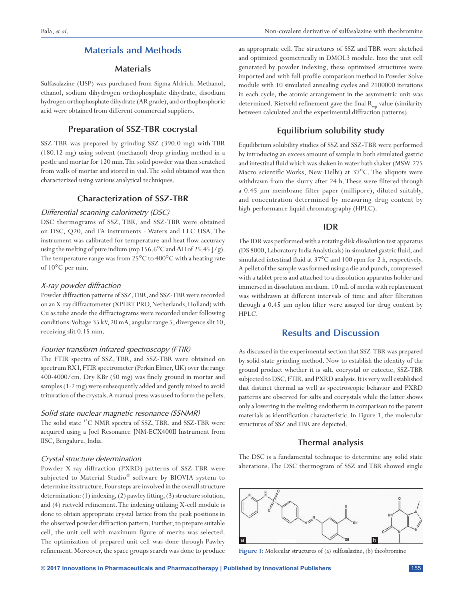# **Materials and Methods**

### **Materials**

Sulfasalazine (USP) was purchased from Sigma Aldrich. Methanol, ethanol, sodium dihydrogen orthophosphate dihydrate, disodium hydrogen orthophosphate dihydrate (AR grade), and orthophosphoric acid were obtained from different commercial suppliers.

#### **Preparation of SSZ-TBR cocrystal**

SSZ-TBR was prepared by grinding SSZ (390.0 mg) with TBR (180.12 mg) using solvent (methanol) drop grinding method in a pestle and mortar for 120 min. The solid powder was then scratched from walls of mortar and stored in vial. The solid obtained was then characterized using various analytical techniques.

#### **Characterization of SSZ-TBR**

#### *Differential scanning calorimetry (DSC)*

DSC thermograms of SSZ, TBR, and SSZ-TBR were obtained on DSC, Q20, and TA instruments - Waters and LLC USA. The instrument was calibrated for temperature and heat flow accuracy using the melting of pure indium (mp 156.6°C and ∆H of 25.45 J/g). The temperature range was from 25°C to 400°C with a heating rate of 10°C per min.

#### *X-ray powder diffraction*

Powder diffraction patterns of SSZ, TBR, and SSZ-TBR were recorded on an X-ray diffractometer (XPERT-PRO, Netherlands, Holland) with Cu as tube anode the diffractograms were recorded under following conditions: Voltage 35 kV, 20 mA, angular range 5, divergence slit 10, receiving slit 0.15 mm.

#### *Fourier transform infrared spectroscopy (FTIR)*

The FTIR spectra of SSZ, TBR, and SSZ-TBR were obtained on spectrum RX I, FTIR spectrometer (Perkin Elmer, UK) over the range 400-4000/cm. Dry KBr (50 mg) was finely ground in mortar and samples (1-2 mg) were subsequently added and gently mixed to avoid trituration of the crystals. A manual press was used to form the pellets.

#### *Solid state nuclear magnetic resonance (SSNMR)*

The solid state 13C NMR spectra of SSZ, TBR, and SSZ-TBR were acquired using a Joel Resonance JNM-ECX400II Instrument from IISC, Bengaluru, India.

#### *Crystal structure determination*

Powder X-ray diffraction (PXRD) patterns of SSZ-TBR were subjected to Material Studio® software by BIOVIA system to determine its structure. Four steps are involved in the overall structure determination: (1) indexing, (2) pawley fitting, (3) structure solution, and (4) rietveld refinement. The indexing utilizing X-cell module is done to obtain appropriate crystal lattice from the peak positions in the observed powder diffraction pattern. Further, to prepare suitable cell, the unit cell with maximum figure of merits was selected. The optimization of prepared unit cell was done through Pawley refinement. Moreover, the space groups search was done to produce an appropriate cell. The structures of SSZ and TBR were sketched and optimized geometrically in DMOL3 module. Into the unit cell generated by powder indexing, these optimized structures were imported and with full-profile comparison method in Powder Solve module with 10 simulated annealing cycles and 2100000 iterations in each cycle, the atomic arrangement in the asymmetric unit was determined. Rietveld refinement gave the final R<sub>wp</sub> value (similarity between calculated and the experimental diffraction patterns).

### **Equilibrium solubility study**

Equilibrium solubility studies of SSZ and SSZ-TBR were performed by introducing an excess amount of sample in both simulated gastric and intestinal fluid which was shaken in water bath shaker (MSW-275 Macro scientific Works, New Delhi) at 37°C. The aliquots were withdrawn from the slurry after 24 h. These were filtered through a 0.45 μm membrane filter paper (millipore), diluted suitably, and concentration determined by measuring drug content by high-performance liquid chromatography (HPLC).

#### **IDR**

The IDR was performed with a rotating disk dissolution test apparatus (DS 8000, Laboratory India Analyticals) in simulated gastric fluid, and simulated intestinal fluid at 37°C and 100 rpm for 2 h, respectively. A pellet of the sample was formed using a die and punch, compressed with a tablet press and attached to a dissolution apparatus holder and immersed in dissolution medium. 10 mL of media with replacement was withdrawn at different intervals of time and after filteration through a 0.45 µm nylon filter were assayed for drug content by HPLC.

## **Results and Discussion**

As discussed in the experimental section that SSZ-TBR was prepared by solid-state grinding method. Now to establish the identity of the ground product whether it is salt, cocrystal or eutectic, SSZ-TBR subjected to DSC, FTIR, and PXRD analysis. It is very well established that distinct thermal as well as spectroscopic behavior and PXRD patterns are observed for salts and cocrystals while the latter shows only a lowering in the melting endotherm in comparison to the parent materials as identification characteristic. In Figure 1, the molecular structures of SSZ and TBR are depicted.

### **Thermal analysis**

The DSC is a fundamental technique to determine any solid state alterations. The DSC thermogram of SSZ and TBR showed single



Figure 1: Molecular structures of (a) sulfasalazine, (b) theobromine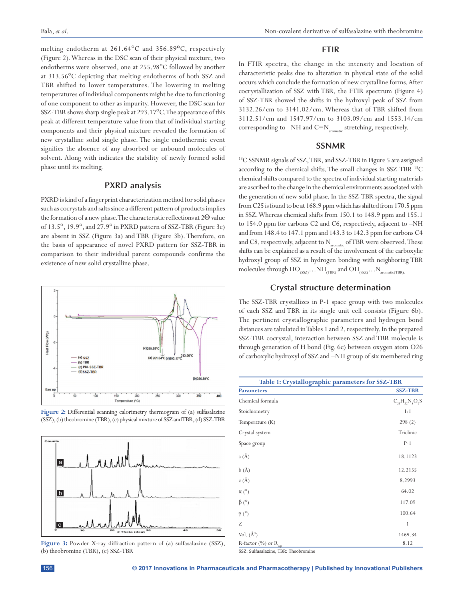melting endotherm at 261.64°C and 356.89**°**C, respectively (Figure 2). Whereas in the DSC scan of their physical mixture, two endotherms were observed, one at 255.98°C followed by another at 313.56°C depicting that melting endotherms of both SSZ and TBR shifted to lower temperatures. The lowering in melting temperatures of individual components might be due to functioning of one component to other as impurity. However, the DSC scan for SSZ-TBR shows sharp single peak at 293.17°C. The appearance of this peak at different temperature value from that of individual starting components and their physical mixture revealed the formation of new crystalline solid single phase. The single endothermic event signifies the absence of any absorbed or unbound molecules of solvent. Along with indicates the stability of newly formed solid phase until its melting.

#### **PXRD analysis**

PXRD is kind of a fingerprint characterization method for solid phases such as cocrystals and salts since a different pattern of products implies the formation of a new phase. The characteristic reflections at 2Θ value of 13.5°, 19.9°, and 27.9° in PXRD pattern of SSZ-TBR (Figure 3c) are absent in SSZ (Figure 3a) and TBR (Figure 3b). Therefore, on the basis of appearance of novel PXRD pattern for SSZ-TBR in comparison to their individual parent compounds confirms the existence of new solid crystalline phase.







**Figure 3:** Powder X-ray diffraction pattern of (a) sulfasalazine (SSZ), (b) theobromine (TBR), (c) SSZ-TBR

## **FTIR**

In FTIR spectra, the change in the intensity and location of characteristic peaks due to alteration in physical state of the solid occurs which conclude the formation of new crystalline forms. After cocrystallization of SSZ with TBR, the FTIR spectrum (Figure 4) of SSZ-TBR showed the shifts in the hydroxyl peak of SSZ from 3132.26/cm to 3141.02/cm. Whereas that of TBR shifted from 3112.51/cm and 1547.97/cm to 3103.09/cm and 1553.14/cm corresponding to  $-NH$  and  $C=N_{\text{aromatic}}$  stretching, respectively.

#### **SSNMR**

13C SSNMR signals of SSZ, TBR, and SSZ-TBR in Figure 5 are assigned according to the chemical shifts. The small changes in SSZ-TBR 13C chemical shifts compared to the spectra of individual starting materials are ascribed to the change in the chemical environments associated with the generation of new solid phase. In the SSZ-TBR spectra, the signal from C25 is found to be at 168.9 ppm which has shifted from 170.5 ppm in SSZ. Whereas chemical shifts from 150.1 to 148.9 ppm and 155.1 to 154.0 ppm for carbons C2 and C6, respectively, adjacent to –NH and from 148.4 to 147.1 ppm and 143.3 to 142.3 ppm for carbons C4 and C8, respectively, adjacent to  $N_{\text{aromatic}}$  of TBR were observed. These shifts can be explained as a result of the involvement of the carboxylic hydroxyl group of SSZ in hydrogen bonding with neighboring TBR molecules through  $HO_{(SSZ)}$ …NH<sub>(TBR)</sub> and  $OH_{(SSZ)}$ …N<sub>aromatic(TBR).</sub>

## **Crystal structure determination**

The SSZ-TBR crystallizes in P-1 space group with two molecules of each SSZ and TBR in its single unit cell consists (Figure 6b). The pertinent crystallographic parameters and hydrogen bond distances are tabulated in Tables 1 and 2, respectively. In the prepared SSZ-TBR cocrystal, interaction between SSZ and TBR molecule is through generation of H bond (Fig. 6c) between oxygen atom O26 of carboxylic hydroxyl of SSZ and –NH group of six membered ring

| Table 1: Crystallographic parameters for SSZ-TBR |                           |  |  |  |
|--------------------------------------------------|---------------------------|--|--|--|
| <b>Parameters</b>                                | <b>SSZ-TBR</b>            |  |  |  |
| Chemical formula                                 | $C_{25}H_{22}N_{8}O_{2}S$ |  |  |  |
| Stoichiometry                                    | 1:1                       |  |  |  |
| Temperature $(K)$                                | 298(2)                    |  |  |  |
| Crystal system                                   | Triclinic                 |  |  |  |
| Space group                                      | $P-1$                     |  |  |  |
| a(A)                                             | 18.1123                   |  |  |  |
| b(A)                                             | 12.2155                   |  |  |  |
| c(A)                                             | 8.2993                    |  |  |  |
| $\alpha$ (°)                                     | 64.02                     |  |  |  |
| $\beta$ (°)                                      | 117.09                    |  |  |  |
| $\gamma$ ( $\degree$ )                           | 100.64                    |  |  |  |
| Z                                                | 1                         |  |  |  |
| Vol. $(\AA^3)$                                   | 1469.34                   |  |  |  |
| R-factor $\frac{(\%)}{(\%)}$ or R <sub>wp</sub>  | 8.12                      |  |  |  |

SSZ: Sulfasalazine, TBR: Theobromine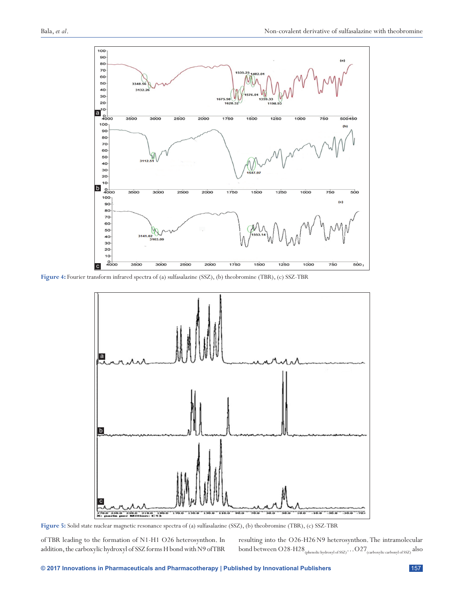

**Figure 4:** Fourier transform infrared spectra of (a) sulfasalazine (SSZ), (b) theobromine (TBR), (c) SSZ-TBR



**Figure 5:** Solid state nuclear magnetic resonance spectra of (a) sulfasalazine (SSZ), (b) theobromine (TBR), (c) SSZ-TBR

of TBR leading to the formation of N1-H1 O26 heterosynthon. In addition, the carboxylic hydroxyl of SSZ forms H bond with N9 of TBR

resulting into the O26-H26. N9 heterosynthon. The intramolecular bond between  $\mathrm{O28\text{-}H28}_{\text{(phenolic hydroxyl of SSZ)}}\ldots \mathrm{O27}_{\text{(carboxylic carbonyl of SSZ)}}$  also